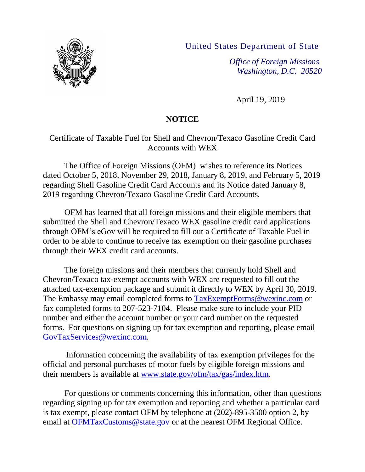United States Department of State



April 19, 2019

*Washington, D.C. 20520*

# **NOTICE**

# Certificate of Taxable Fuel for Shell and Chevron/Texaco Gasoline Credit Card Accounts with WEX

The Office of Foreign Missions (OFM) wishes to reference its Notices dated October 5, 2018, November 29, 2018, January 8, 2019, and February 5, 2019 regarding Shell Gasoline Credit Card Accounts and its Notice dated January 8, 2019 regarding Chevron/Texaco Gasoline Credit Card Accounts.

OFM has learned that all foreign missions and their eligible members that submitted the Shell and Chevron/Texaco WEX gasoline credit card applications through OFM's eGov will be required to fill out a Certificate of Taxable Fuel in order to be able to continue to receive tax exemption on their gasoline purchases through their WEX credit card accounts.

The foreign missions and their members that currently hold Shell and Chevron/Texaco tax-exempt accounts with WEX are requested to fill out the attached tax-exemption package and submit it directly to WEX by April 30, 2019. The Embassy may email completed forms to [TaxExemptForms@wexinc.com](mailto:TaxExemptForms@wexinc.com) or fax completed forms to 207-523-7104. Please make sure to include your PID number and either the account number or your card number on the requested forms. For questions on signing up for tax exemption and reporting, please email [GovTaxServices@wexinc.com.](mailto:GovTaxServices@wexinc.com)

Information concerning the availability of tax exemption privileges for the official and personal purchases of motor fuels by eligible foreign missions and their members is available at [www.state.gov/ofm/tax/gas/index.htm.](http://www.state.gov/ofm/tax/gas/index.htm)

For questions or comments concerning this information, other than questions regarding signing up for tax exemption and reporting and whether a particular card is tax exempt, please contact OFM by telephone at (202)-895-3500 option 2, by email at [OFMTaxCustoms@state.gov](mailto:OFMTaxCustoms@state.gov) or at the nearest OFM Regional Office.

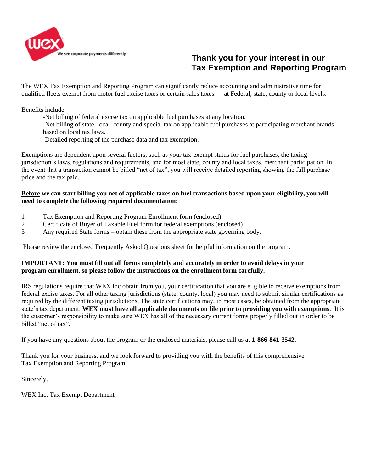

# le see corporate payments differently.<br> **Thank you for your interest in our Tax Exemption and Reporting Program**

The WEX Tax Exemption and Reporting Program can significantly reduce accounting and administrative time for qualified fleets exempt from motor fuel excise taxes or certain sales taxes — at Federal, state, county or local levels.

Benefits include:

- -Net billing of federal excise tax on applicable fuel purchases at any location.
- -Net billing of state, local, county and special tax on applicable fuel purchases at participating merchant brands based on local tax laws.
- -Detailed reporting of the purchase data and tax exemption.

Exemptions are dependent upon several factors, such as your tax-exempt status for fuel purchases, the taxing jurisdiction's laws, regulations and requirements, and for most state, county and local taxes, merchant participation. In the event that a transaction cannot be billed "net of tax", you will receive detailed reporting showing the full purchase price and the tax paid.

#### **Before we can start billing you net of applicable taxes on fuel transactions based upon your eligibility, you will need to complete the following required documentation:**

- 1 Tax Exemption and Reporting Program Enrollment form (enclosed)
- 2 Certificate of Buyer of Taxable Fuel form for federal exemptions (enclosed)
- 3 Any required State forms obtain these from the appropriate state governing body.

Please review the enclosed Frequently Asked Questions sheet for helpful information on the program.

### **IMPORTANT: You must fill out all forms completely and accurately in order to avoid delays in your program enrollment, so please follow the instructions on the enrollment form carefully.**

IRS regulations require that WEX Inc obtain from you, your certification that you are eligible to receive exemptions from federal excise taxes. For all other taxing jurisdictions (state, county, local) you may need to submit similar certifications as required by the different taxing jurisdictions. The state certifications may, in most cases, be obtained from the appropriate state's tax department. **WEX must have all applicable documents on file prior to providing you with exemptions**. It is the customer's responsibility to make sure WEX has all of the necessary current forms properly filled out in order to be billed "net of tax".

If you have any questions about the program or the enclosed materials, please call us at **1-866-841-3542.** 

Thank you for your business, and we look forward to providing you with the benefits of this comprehensive Tax Exemption and Reporting Program.

Sincerely,

WEX Inc. Tax Exempt Department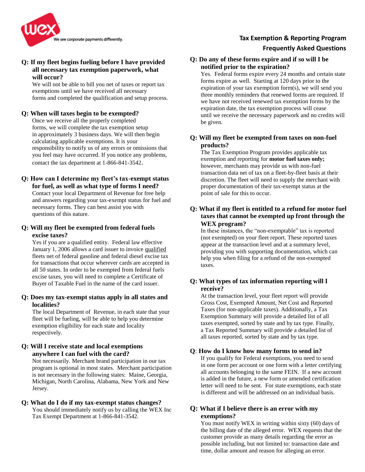

## **Tax Exemption & Reporting Program**

#### **Frequently Asked Questions**

## **Q: If my fleet begins fueling before I have provided all necessary tax exemption paperwork, what will occur?**

We will not be able to bill you net of taxes or report tax exemptions until we have received all necessary forms and completed the qualification and setup process.

#### **Q: When will taxes begin to be exempted?**

Once we receive all the properly completed forms, we will complete the tax exemption setup in approximately 3 business days. We will then begin calculating applicable exemptions. It is your responsibility to notify us of any errors or omissions that you feel may have occurred. If you notice any problems, contact the tax department at 1-866-841-3542.

#### **Q: How can I determine my fleet's tax-exempt status for fuel, as well as what type of forms I need?**

Contact your local Department of Revenue for free help and answers regarding your tax-exempt status for fuel and necessary forms. They can best assist you with questions of this nature.

#### **Q: Will my fleet be exempted from federal fuels excise taxes?**

Yes if you are a qualified entity. Federal law effective January 1, 2006 allows a card issuer to invoice qualified fleets net of federal gasoline and federal diesel excise tax for transactions that occur wherever cards are accepted in all 50 states. In order to be exempted from federal fuels excise taxes, you will need to complete a Certificate of Buyer of Taxable Fuel in the name of the card issuer.

#### **Q: Does my tax-exempt status apply in all states and localities?**

The local Department of Revenue, in each state that your fleet will be fueling, will be able to help you determine exemption eligibility for each state and locality respectively.

#### **Q: Will I receive state and local exemptions anywhere I can fuel with the card?**

Not necessarily. Merchant brand participation in our tax program is optional in most states. Merchant participation is not necessary in the following states: Maine, Georgia, Michigan, North Carolina, Alabama, New York and New Jersey.

#### **Q: What do I do if my tax-exempt status changes?**

You should immediately notify us by calling the WEX Inc Tax Exempt Department at 1-866-841-3542.

#### **Q: Do any of these forms expire and if so will I be notified prior to the expiration?**

Yes. Federal forms expire every 24 months and certain state forms expire as well. Starting at 120 days prior to the expiration of your tax exemption form(s), we will send you three monthly reminders that renewed forms are required. If we have not received renewed tax exemption forms by the expiration date, the tax exemption process will cease until we receive the necessary paperwork and no credits will be given.

#### **Q: Will my fleet be exempted from taxes on non-fuel products?**

The Tax Exemption Program provides applicable tax exemption and reporting for **motor fuel taxes only;**  however, merchants may provide us with non-fuel transaction data net of tax on a fleet-by-fleet basis at their discretion. The fleet will need to supply the merchant with proper documentation of their tax-exempt status at the point of sale for this to occur.

#### **Q: What if my fleet is entitled to a refund for motor fuel taxes that cannot be exempted up front through the WEX program?**

In these instances, the "non-exemptable" tax is reported (not exempted) on your fleet report. These reported taxes appear at the transaction level and at a summary level, providing you with supporting documentation, which can help you when filing for a refund of the non-exempted taxes.

#### **Q: What types of tax information reporting will I receive?**

At the transaction level, your fleet report will provide Gross Cost, Exempted Amount, Net Cost and Reported Taxes (for non-applicable taxes). Additionally, a Tax Exemption Summary will provide a detailed list of all taxes exempted, sorted by state and by tax type. Finally, a Tax Reported Summary will provide a detailed list of all taxes reported, sorted by state and by tax type.

#### **Q**: **How do I know how many forms to send in?**

If you qualify for Federal exemptions, you need to send in one form per account or one form with a letter certifying all accounts belonging to the same FEIN. If a new account is added in the future, a new form or amended certification letter will need to be sent. For state exemptions, each state is different and will be addressed on an individual basis.

#### **Q: What if I believe there is an error with my exemptions?**

You must notify WEX in writing within sixty (60) days of the billing date of the alleged error. WEX requests that the customer provide as many details regarding the error as possible including, but not limited to: transaction date and time, dollar amount and reason for alleging an error.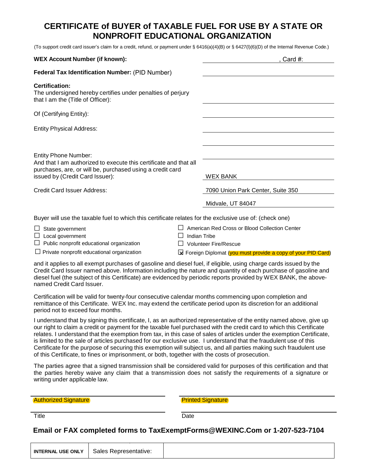# **CERTIFICATE of BUYER of TAXABLE FUEL FOR USE BY A STATE OR NONPROFIT EDUCATIONAL ORGANIZATION**

(To support credit card issuer's claim for a credit, refund, or payment under § 6416(a)(4)(B) or § 6427(l)(6)(D) of the Internal Revenue Code.)

| <b>WEX Account Number (if known):</b>                                                                                                                                                            |                                                               | Card $#$ :                                                                    |  |  |
|--------------------------------------------------------------------------------------------------------------------------------------------------------------------------------------------------|---------------------------------------------------------------|-------------------------------------------------------------------------------|--|--|
| Federal Tax Identification Number: (PID Number)                                                                                                                                                  |                                                               |                                                                               |  |  |
| <b>Certification:</b><br>The undersigned hereby certifies under penalties of perjury<br>that I am the (Title of Officer):                                                                        |                                                               |                                                                               |  |  |
| Of (Certifying Entity):                                                                                                                                                                          |                                                               |                                                                               |  |  |
| <b>Entity Physical Address:</b>                                                                                                                                                                  |                                                               |                                                                               |  |  |
|                                                                                                                                                                                                  |                                                               |                                                                               |  |  |
| <b>Entity Phone Number:</b><br>And that I am authorized to execute this certificate and that all<br>purchases, are, or will be, purchased using a credit card<br>issued by (Credit Card Issuer): |                                                               | <b>WEX BANK</b>                                                               |  |  |
| Credit Card Issuer Address:                                                                                                                                                                      |                                                               | 7090 Union Park Center, Suite 350                                             |  |  |
|                                                                                                                                                                                                  |                                                               | Midvale, UT 84047                                                             |  |  |
| Buyer will use the taxable fuel to which this certificate relates for the exclusive use of: (check one)                                                                                          |                                                               |                                                                               |  |  |
| State government<br>Local government<br>Public nonprofit educational organization                                                                                                                | Indian Tribe                                                  | American Red Cross or Blood Collection Center<br><b>Volunteer Fire/Rescue</b> |  |  |
| $\Box$ Private nonprofit educational organization                                                                                                                                                | ⊠ Foreign Diplomat (you must provide a copy of your PID Card) |                                                                               |  |  |

and it applies to all exempt purchases of gasoline and diesel fuel, if eligible, using charge cards issued by the Credit Card Issuer named above. Information including the nature and quantity of each purchase of gasoline and diesel fuel (the subject of this Certificate) are evidenced by periodic reports provided by WEX BANK, the abovenamed Credit Card Issuer.

Certification will be valid for twenty-four consecutive calendar months commencing upon completion and remittance of this Certificate. WEX Inc. may extend the certificate period upon its discretion for an additional period not to exceed four months.

I understand that by signing this certificate, I, as an authorized representative of the entity named above, give up our right to claim a credit or payment for the taxable fuel purchased with the credit card to which this Certificate relates. I understand that the exemption from tax, in this case of sales of articles under the exemption Certificate, is limited to the sale of articles purchased for our exclusive use. I understand that the fraudulent use of this Certificate for the purpose of securing this exemption will subject us, and all parties making such fraudulent use of this Certificate, to fines or imprisonment, or both, together with the costs of prosecution.

The parties agree that a signed transmission shall be considered valid for purposes of this certification and that the parties hereby waive any claim that a transmission does not satisfy the requirements of a signature or writing under applicable law.

Authorized Signature **Printed Signature Printed Signature** 

Title Date

## **Email or FAX completed forms to TaxExemptForms@WEXINC.Com or 1-207-523-7104**

|--|--|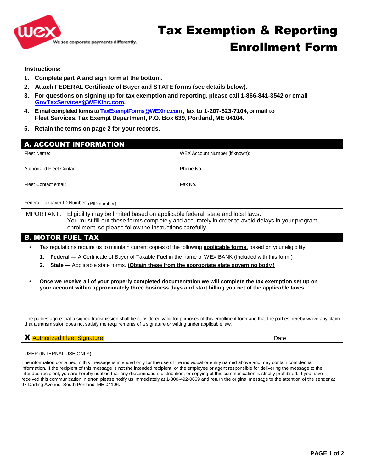

**Instructions:**

- **1. Complete part A and sign form at the bottom.**
- **2. Attach FEDERAL Certificate of Buyer and STATE forms (see details below).**
- **3. For questions on signing up for tax exemption and reporting, please call 1-866-841-3542 or email [GovTaxServices@WEXInc.com.](mailto:GovTaxServices@WEXInc.com)**
- **4. Email completed forms t[o TaxExemptForms@WEXInc.com](mailto:TaxExemptForms@WEXInc.com) , fax to 1-207-523-7104, or mail to Fleet Services, Tax Exempt Department, P.O. Box 639, Portland, ME 04104.**
- **5. Retain the terms on page 2 for your records.**

| <b>A. ACCOUNT INFORMATION</b>                                                                                                                                                                                                                                    |                                |  |  |
|------------------------------------------------------------------------------------------------------------------------------------------------------------------------------------------------------------------------------------------------------------------|--------------------------------|--|--|
| Fleet Name:                                                                                                                                                                                                                                                      | WEX Account Number (if known): |  |  |
| <b>Authorized Fleet Contact:</b>                                                                                                                                                                                                                                 | Phone No.:                     |  |  |
| Fleet Contact email:                                                                                                                                                                                                                                             | Fax No.:                       |  |  |
| Federal Taxpayer ID Number: (PID number)                                                                                                                                                                                                                         |                                |  |  |
| Eligibility may be limited based on applicable federal, state and local laws.<br>IMPORTANT:<br>You must fill out these forms completely and accurately in order to avoid delays in your program<br>enrollment, so please follow the instructions carefully.      |                                |  |  |
| <b>B. MOTOR FUEL TAX</b>                                                                                                                                                                                                                                         |                                |  |  |
| Tax regulations require us to maintain current copies of the following <b>applicable forms</b> , based on your eligibility:<br>$\bullet$                                                                                                                         |                                |  |  |
| <b>Federal</b> — A Certificate of Buyer of Taxable Fuel in the name of WEX BANK (Included with this form.)                                                                                                                                                       |                                |  |  |
| State - Applicable state forms. (Obtain these from the appropriate state governing body.)<br>2.                                                                                                                                                                  |                                |  |  |
| Once we receive all of your properly completed documentation we will complete the tax exemption set up on<br>your account within approximately three business days and start billing you net of the applicable taxes.                                            |                                |  |  |
| The parties agree that a signed transmission shall be considered valid for purposes of this enrollment form and that the parties hereby waive any claim<br>that a transmission does not satisfy the requirements of a signature or writing under applicable law. |                                |  |  |

#### **X** Authorized Fleet Signature **Date:** Date:

USER (INTERNAL USE ONLY):

The information contained in this message is intended only for the use of the individual or entity named above and may contain confidential information. If the recipient of this message is not the intended recipient, or the employee or agent responsible for delivering the message to the intended recipient, you are hereby notified that any dissemination, distribution, or copying of this communication is strictly prohibited. If you have received this communication in error, please notify us immediately at 1-800-492-0669 and return the original message to the attention of the sender at 97 Darling Avenue, South Portland, ME 04106.